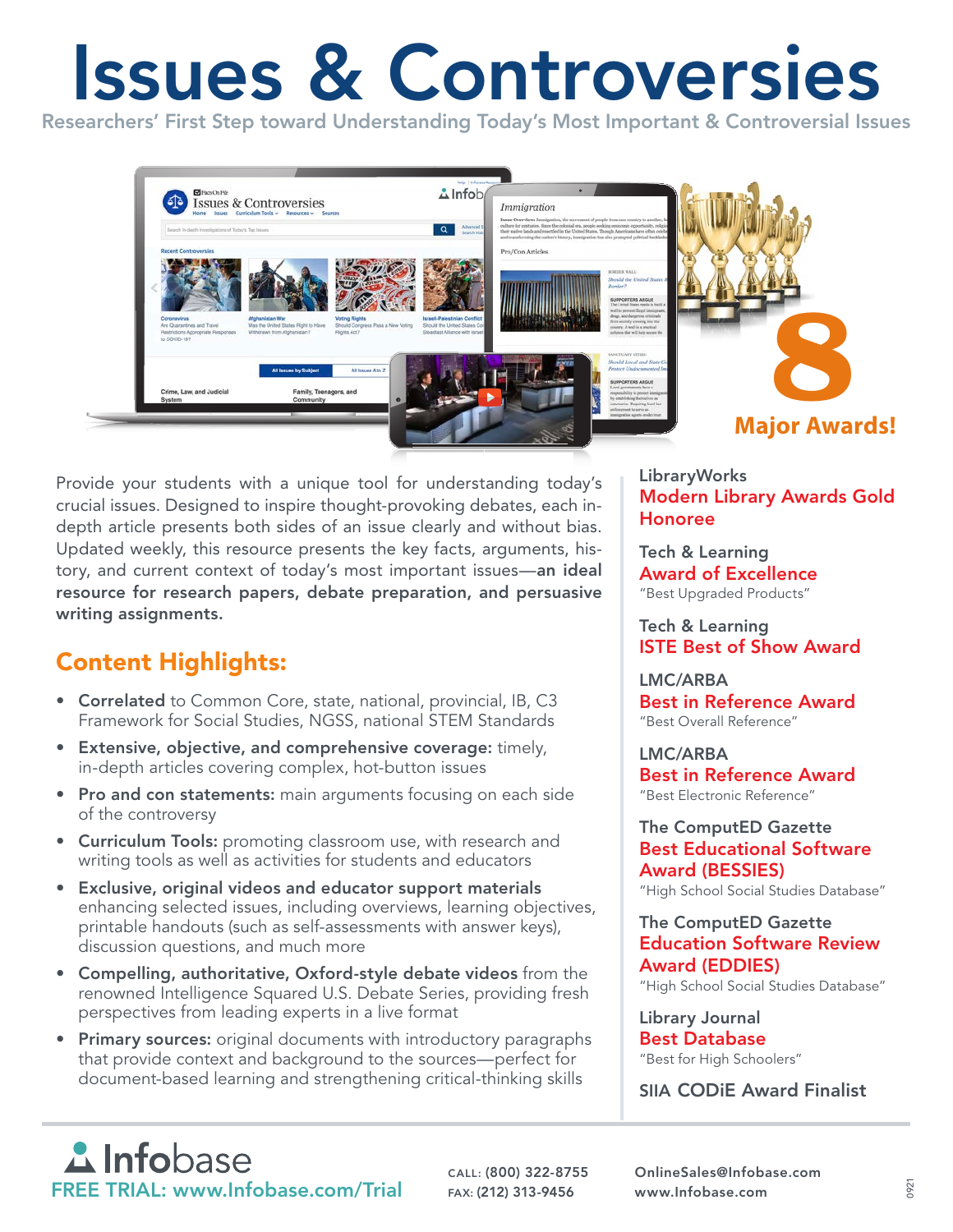# Issues & Controversies

Researchers' First Step toward Understanding Today's Most Important & Controversial Issues



Provide your students with a unique tool for understanding today's crucial issues. Designed to inspire thought-provoking debates, each indepth article presents both sides of an issue clearly and without bias. Updated weekly, this resource presents the key facts, arguments, history, and current context of today's most important issues—an ideal resource for research papers, debate preparation, and persuasive writing assignments.

## Content Highlights:

- Correlated to Common Core, state, national, provincial, IB, C3 Framework for Social Studies, NGSS, national STEM Standards
- Extensive, objective, and comprehensive coverage: timely, in-depth articles covering complex, hot-button issues
- Pro and con statements: main arguments focusing on each side of the controversy
- Curriculum Tools: promoting classroom use, with research and writing tools as well as activities for students and educators
- Exclusive, original videos and educator support materials enhancing selected issues, including overviews, learning objectives, printable handouts (such as self-assessments with answer keys), discussion questions, and much more
- Compelling, authoritative, Oxford-style debate videos from the renowned Intelligence Squared U.S. Debate Series, providing fresh perspectives from leading experts in a live format
- Primary sources: original documents with introductory paragraphs that provide context and background to the sources—perfect for document-based learning and strengthening critical-thinking skills

LibraryWorks Modern Library Awards Gold Honoree

Tech & Learning Award of Excellence "Best Upgraded Products"

Tech & Learning ISTE Best of Show Award

#### LMC/ARBA Best in Reference Award "Best Overall Reference"

LMC/ARBA Best in Reference Award "Best Electronic Reference"

### The ComputED Gazette Best Educational Software Award (BESSIES)

"High School Social Studies Database"

#### The ComputED Gazette Education Software Review Award (EDDIES)

"High School Social Studies Database"

Library Journal Best Database "Best for High Schoolers"

SIIA CODiE Award Finalist

**A**Infobase FREE TRIAL: www.Infobase.com/Trial FAX: (212) 313-9456 www.Infobase.com

CALL: (800) 322-8755 OnlineSales@Infobase.com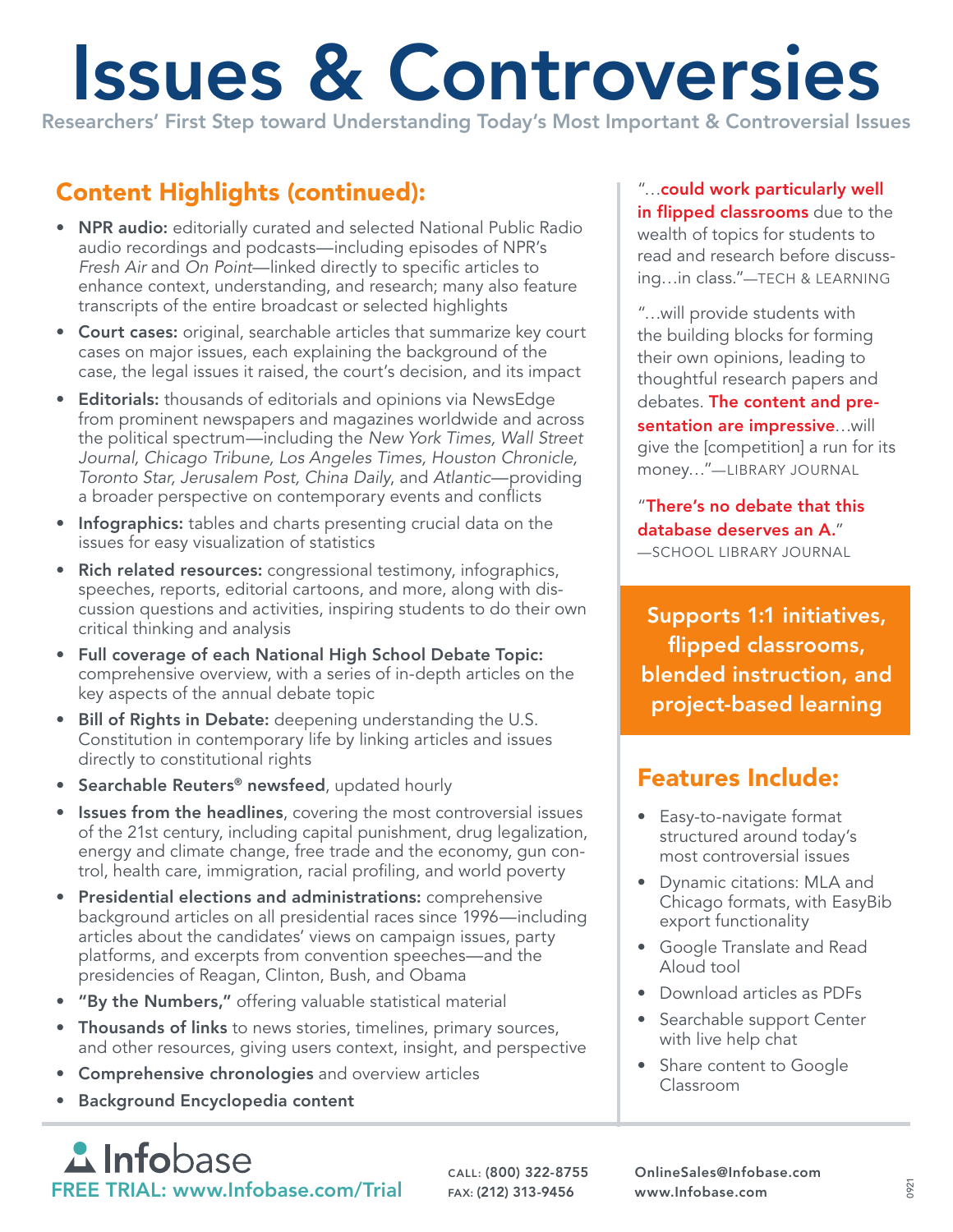# Issues & Controversies

Researchers' First Step toward Understanding Today's Most Important & Controversial Issues

## Content Highlights (continued):

- **NPR audio:** editorially curated and selected National Public Radio audio recordings and podcasts—including episodes of NPR's *Fresh Air* and *On Point*—linked directly to specific articles to enhance context, understanding, and research; many also feature transcripts of the entire broadcast or selected highlights
- Court cases: original, searchable articles that summarize key court cases on major issues, each explaining the background of the case, the legal issues it raised, the court's decision, and its impact
- Editorials: thousands of editorials and opinions via NewsEdge from prominent newspapers and magazines worldwide and across the political spectrum—including the *New York Times, Wall Street Journal, Chicago Tribune, Los Angeles Times, Houston Chronicle, Toronto Star, Jerusalem Post, China Daily*, and *Atlantic*—providing a broader perspective on contemporary events and conflicts
- Infographics: tables and charts presenting crucial data on the issues for easy visualization of statistics
- Rich related resources: congressional testimony, infographics, speeches, reports, editorial cartoons, and more, along with discussion questions and activities, inspiring students to do their own critical thinking and analysis
- Full coverage of each National High School Debate Topic: comprehensive overview, with a series of in-depth articles on the key aspects of the annual debate topic
- Bill of Rights in Debate: deepening understanding the U.S. Constitution in contemporary life by linking articles and issues directly to constitutional rights
- **Searchable Reuters<sup>®</sup> newsfeed**, updated hourly
- Issues from the headlines, covering the most controversial issues of the 21st century, including capital punishment, drug legalization, energy and climate change, free trade and the economy, gun control, health care, immigration, racial profiling, and world poverty
- Presidential elections and administrations: comprehensive background articles on all presidential races since 1996—including articles about the candidates' views on campaign issues, party platforms, and excerpts from convention speeches—and the presidencies of Reagan, Clinton, Bush, and Obama
- "By the Numbers," offering valuable statistical material
- Thousands of links to news stories, timelines, primary sources, and other resources, giving users context, insight, and perspective
- Comprehensive chronologies and overview articles
- Background Encyclopedia content

**A** Infobase FREE TRIAL: www.Infobase.com/Trial FAX: (212) 313-9456 www.Infobase.com

Features Include:

"…could work particularly well in flipped classrooms due to the wealth of topics for students to read and research before discussing…in class."—TECH & LEARNING

"…will provide students with the building blocks for forming their own opinions, leading to thoughtful research papers and debates. The content and presentation are impressive...will give the [competition] a run for its money…"—LIBRARY JOURNAL

"There's no debate that this database deserves an A." —SCHOOL LIBRARY JOURNAL

Supports 1:1 initiatives, flipped classrooms, blended instruction, and project-based learning

- Easy-to-navigate format structured around today's most controversial issues
- Dynamic citations: MLA and Chicago formats, with EasyBib export functionality
- Google Translate and Read Aloud tool
- Download articles as PDFs
- Searchable support Center with live help chat
- Share content to Google Classroom

CALL: (800) 322-8755 OnlineSales@Infobase.com